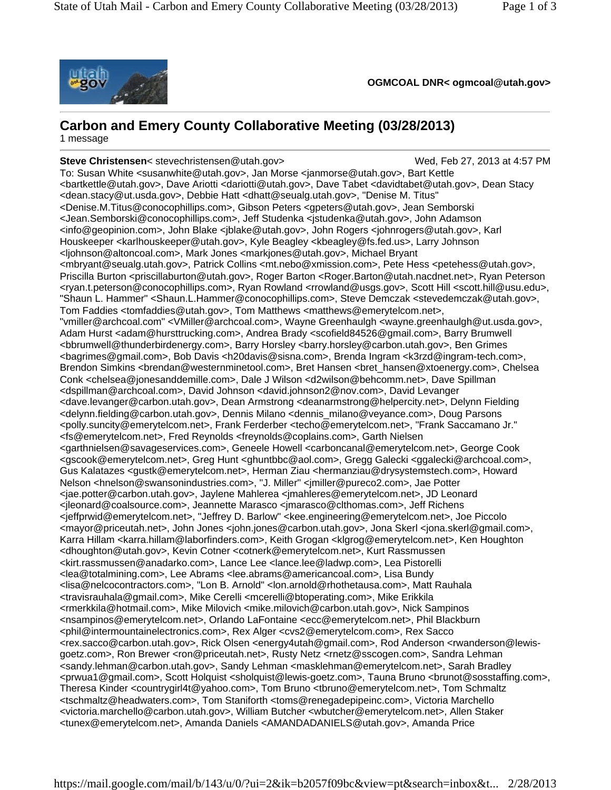

**OGMCOAL DNR< ogmcoal@utah.gov>**

# **Carbon and Emery County Collaborative Meeting (03/28/2013)**

1 message

**Steve Christensen**< stevechristensen@utah.gov> Wed, Feb 27, 2013 at 4:57 PM To: Susan White <susanwhite@utah.gov>, Jan Morse <janmorse@utah.gov>, Bart Kettle <bartkettle@utah.gov>, Dave Ariotti <dariotti@utah.gov>, Dave Tabet <davidtabet@utah.gov>, Dean Stacy <dean.stacy@ut.usda.gov>, Debbie Hatt <dhatt@seualg.utah.gov>, "Denise M. Titus" <Denise.M.Titus@conocophillips.com>, Gibson Peters <gpeters@utah.gov>, Jean Semborski <Jean.Semborski@conocophillips.com>, Jeff Studenka <jstudenka@utah.gov>, John Adamson <info@geopinion.com>, John Blake <jblake@utah.gov>, John Rogers <johnrogers@utah.gov>, Karl Houskeeper <karlhouskeeper@utah.gov>, Kyle Beagley <kbeagley@fs.fed.us>, Larry Johnson <ljohnson@altoncoal.com>, Mark Jones <markjones@utah.gov>, Michael Bryant <mbryant@seualg.utah.gov>, Patrick Collins <mt.nebo@xmission.com>, Pete Hess <petehess@utah.gov>, Priscilla Burton <priscillaburton@utah.gov>, Roger Barton <Roger.Barton@utah.nacdnet.net>, Ryan Peterson <ryan.t.peterson@conocophillips.com>, Ryan Rowland <rrowland@usgs.gov>, Scott Hill <scott.hill@usu.edu>, "Shaun L. Hammer" <Shaun.L.Hammer@conocophillips.com>, Steve Demczak <stevedemczak@utah.gov>, Tom Faddies <tomfaddies@utah.gov>, Tom Matthews <matthews@emerytelcom.net>, "vmiller@archcoal.com" <VMiller@archcoal.com>, Wayne Greenhaulgh <wayne.greenhaulgh@ut.usda.gov>, Adam Hurst <adam@hursttrucking.com>, Andrea Brady <scofield84526@gmail.com>, Barry Brumwell <bbrumwell@thunderbirdenergy.com>, Barry Horsley <barry.horsley@carbon.utah.gov>, Ben Grimes <bagrimes@gmail.com>, Bob Davis <h20davis@sisna.com>, Brenda Ingram <k3rzd@ingram-tech.com>, Brendon Simkins <br endan@westernminetool.com>, Bret Hansen <br ender mansen@xtoenergy.com>, Chelsea Conk <chelsea@jonesanddemille.com>, Dale J Wilson <d2wilson@behcomm.net>, Dave Spillman <dspillman@archcoal.com>, David Johnson <david.johnson2@nov.com>, David Levanger <dave.levanger@carbon.utah.gov>, Dean Armstrong <deanarmstrong@helpercity.net>, Delynn Fielding <delynn.fielding@carbon.utah.gov>, Dennis Milano <dennis\_milano@veyance.com>, Doug Parsons <polly.suncity@emerytelcom.net>, Frank Ferderber <techo@emerytelcom.net>, "Frank Saccamano Jr." <fs@emerytelcom.net>, Fred Reynolds <freynolds@coplains.com>, Garth Nielsen <garthnielsen@savageservices.com>, Geneele Howell <carboncanal@emerytelcom.net>, George Cook <gscook@emerytelcom.net>, Greg Hunt <ghuntbbc@aol.com>, Gregg Galecki <ggalecki@archcoal.com>, Gus Kalatazes <gustk@emerytelcom.net>, Herman Ziau <hermanziau@drysystemstech.com>, Howard Nelson <hnelson@swansonindustries.com>, "J. Miller" <jmiller@pureco2.com>, Jae Potter <jae.potter@carbon.utah.gov>, Jaylene Mahlerea <jmahleres@emerytelcom.net>, JD Leonard <jleonard@coalsource.com>, Jeannette Marasco <jmarasco@clthomas.com>, Jeff Richens <jeffprwid@emerytelcom.net>, "Jeffrey D. Barlow" <kee.engineering@emerytelcom.net>, Joe Piccolo <mayor@priceutah.net>, John Jones <john.jones@carbon.utah.gov>, Jona Skerl <jona.skerl@gmail.com>, Karra Hillam <karra.hillam@laborfinders.com>, Keith Grogan <klgrog@emerytelcom.net>, Ken Houghton <dhoughton@utah.gov>, Kevin Cotner <cotnerk@emerytelcom.net>, Kurt Rassmussen <kirt.rassmussen@anadarko.com>, Lance Lee <lance.lee@ladwp.com>, Lea Pistorelli <lea@totalmining.com>, Lee Abrams <lee.abrams@americancoal.com>, Lisa Bundy <lisa@nelcocontractors.com>, "Lon B. Arnold" <lon.arnold@rhothetausa.com>, Matt Rauhala <travisrauhala@gmail.com>, Mike Cerelli <mcerelli@btoperating.com>, Mike Erikkila <rmerkkila@hotmail.com>, Mike Milovich <mike.milovich@carbon.utah.gov>, Nick Sampinos <nsampinos@emerytelcom.net>, Orlando LaFontaine <ecc@emerytelcom.net>, Phil Blackburn <phil@intermountainelectronics.com>, Rex Alger <cvs2@emerytelcom.com>, Rex Sacco <rex.sacco@carbon.utah.gov>, Rick Olsen <energy4utah@gmail.com>, Rod Anderson <rwanderson@lewisgoetz.com>, Ron Brewer <ron@priceutah.net>, Rusty Netz <rnetz@sscogen.com>, Sandra Lehman <sandy.lehman@carbon.utah.gov>, Sandy Lehman <masklehman@emerytelcom.net>, Sarah Bradley <prwua1@gmail.com>, Scott Holquist <sholquist@lewis-goetz.com>, Tauna Bruno <brunot@sosstaffing.com>, Theresa Kinder <countrygirl4t@yahoo.com>, Tom Bruno <tbruno@emerytelcom.net>, Tom Schmaltz <tschmaltz@headwaters.com>, Tom Staniforth <toms@renegadepipeinc.com>, Victoria Marchello <victoria.marchello@carbon.utah.gov>, William Butcher <wbutcher@emerytelcom.net>, Allen Staker <tunex@emerytelcom.net>, Amanda Daniels <AMANDADANIELS@utah.gov>, Amanda Price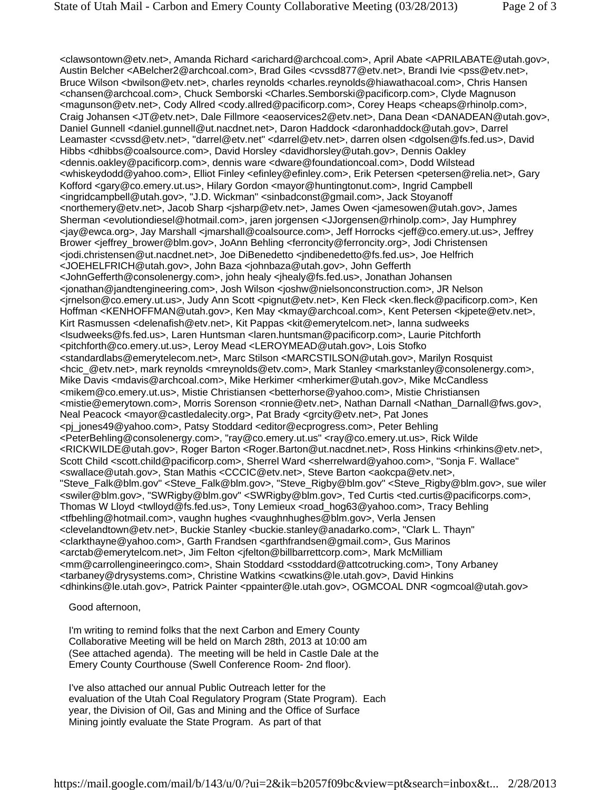<clawsontown@etv.net>, Amanda Richard <arichard@archcoal.com>, April Abate <APRILABATE@utah.gov>, Austin Belcher <ABelcher2@archcoal.com>, Brad Giles <cvssd877@etv.net>, Brandi Ivie <pss@etv.net>, Bruce Wilson <br/> <br/>homety.net>, charles reynolds <charles.reynolds@hiawathacoal.com>, Chris Hansen <chansen@archcoal.com>, Chuck Semborski <Charles.Semborski@pacificorp.com>, Clyde Magnuson <magunson@etv.net>, Cody Allred <cody.allred@pacificorp.com>, Corey Heaps <cheaps@rhinolp.com>, Craig Johansen <JT@etv.net>, Dale Fillmore <eaoservices2@etv.net>, Dana Dean <DANADEAN@utah.gov>, Daniel Gunnell <daniel.gunnell@ut.nacdnet.net>, Daron Haddock <daronhaddock@utah.gov>, Darrel Leamaster <cvssd@etv.net>, "darrel@etv.net" <darrel@etv.net>, darren olsen <dgolsen@fs.fed.us>, David Hibbs <dhibbs@coalsource.com>, David Horsley <davidhorsley@utah.gov>, Dennis Oakley <dennis.oakley@pacificorp.com>, dennis ware <dware@foundationcoal.com>, Dodd Wilstead <whiskeydodd@yahoo.com>, Elliot Finley <efinley@efinley.com>, Erik Petersen <petersen@relia.net>, Gary Kofford <gary@co.emery.ut.us>, Hilary Gordon <mayor@huntingtonut.com>, Ingrid Campbell <ingridcampbell@utah.gov>, "J.D. Wickman" <sinbadconst@gmail.com>, Jack Stoyanoff <northemery@etv.net>, Jacob Sharp <jsharp@etv.net>, James Owen <jamesowen@utah.gov>, James Sherman <evolutiondiesel@hotmail.com>, jaren jorgensen <JJorgensen@rhinolp.com>, Jay Humphrey <jay@ewca.org>, Jay Marshall <jmarshall@coalsource.com>, Jeff Horrocks <jeff@co.emery.ut.us>, Jeffrey Brower <jeffrey\_brower@blm.gov>, JoAnn Behling <ferroncity@ferroncity.org>, Jodi Christensen <jodi.christensen@ut.nacdnet.net>, Joe DiBenedetto <jndibenedetto@fs.fed.us>, Joe Helfrich <JOEHELFRICH@utah.gov>, John Baza <johnbaza@utah.gov>, John Gefferth <JohnGefferth@consolenergy.com>, john healy <jhealy@fs.fed.us>, Jonathan Johansen <jonathan@jandtengineering.com>, Josh Wilson <joshw@nielsonconstruction.com>, JR Nelson <jrnelson@co.emery.ut.us>, Judy Ann Scott <pignut@etv.net>, Ken Fleck <ken.fleck@pacificorp.com>, Ken Hoffman <KENHOFFMAN@utah.gov>, Ken May <kmay@archcoal.com>, Kent Petersen <kjpete@etv.net>, Kirt Rasmussen <delenafish@etv.net>, Kit Pappas <kit@emerytelcom.net>, lanna sudweeks <lsudweeks@fs.fed.us>, Laren Huntsman <laren.huntsman@pacificorp.com>, Laurie Pitchforth <pitchforth@co.emery.ut.us>, Leroy Mead <LEROYMEAD@utah.gov>, Lois Stofko <standardlabs@emerytelecom.net>, Marc Stilson <MARCSTILSON@utah.gov>, Marilyn Rosquist <hcic\_@etv.net>, mark reynolds <mreynolds@etv.com>, Mark Stanley <markstanley@consolenergy.com>, Mike Davis <mdavis@archcoal.com>, Mike Herkimer <mherkimer@utah.gov>, Mike McCandless <mikem@co.emery.ut.us>, Mistie Christiansen <betterhorse@yahoo.com>, Mistie Christiansen <mistie@emerytown.com>, Morris Sorenson <ronnie@etv.net>, Nathan Darnall <Nathan\_Darnall@fws.gov>, Neal Peacock <mayor@castledalecity.org>, Pat Brady <grcity@etv.net>, Pat Jones <pj\_jones49@yahoo.com>, Patsy Stoddard <editor@ecprogress.com>, Peter Behling <PeterBehling@consolenergy.com>, "ray@co.emery.ut.us" <ray@co.emery.ut.us>, Rick Wilde <RICKWILDE@utah.gov>, Roger Barton <Roger.Barton@ut.nacdnet.net>, Ross Hinkins <rhinkins@etv.net>, Scott Child <scott.child@pacificorp.com>, Sherrel Ward <sherrelward@yahoo.com>, "Sonja F. Wallace" <swallace@utah.gov>, Stan Mathis <CCCIC@etv.net>, Steve Barton <aokcpa@etv.net>, "Steve\_Falk@blm.gov" <Steve\_Falk@blm.gov>, "Steve\_Rigby@blm.gov" <Steve\_Rigby@blm.gov>, sue wiler <swiler@blm.gov>, "SWRigby@blm.gov" <SWRigby@blm.gov>, Ted Curtis <ted.curtis@pacificorps.com>, Thomas W Lloyd <twlloyd@fs.fed.us>, Tony Lemieux <road\_hog63@yahoo.com>, Tracy Behling <tfbehling@hotmail.com>, vaughn hughes <vaughnhughes@blm.gov>, Verla Jensen <clevelandtown@etv.net>, Buckie Stanley <buckie.stanley@anadarko.com>, "Clark L. Thayn" <clarkthayne@yahoo.com>, Garth Frandsen <garthfrandsen@gmail.com>, Gus Marinos <arctab@emerytelcom.net>, Jim Felton <jfelton@billbarrettcorp.com>, Mark McMilliam <mm@carrollengineeringco.com>, Shain Stoddard <sstoddard@attcotrucking.com>, Tony Arbaney <tarbaney@drysystems.com>, Christine Watkins <cwatkins@le.utah.gov>, David Hinkins <dhinkins@le.utah.gov>, Patrick Painter <ppainter@le.utah.gov>, OGMCOAL DNR <ogmcoal@utah.gov>

#### Good afternoon,

I'm writing to remind folks that the next Carbon and Emery County Collaborative Meeting will be held on March 28th, 2013 at 10:00 am (See attached agenda). The meeting will be held in Castle Dale at the Emery County Courthouse (Swell Conference Room- 2nd floor).

I've also attached our annual Public Outreach letter for the evaluation of the Utah Coal Regulatory Program (State Program). Each year, the Division of Oil, Gas and Mining and the Office of Surface Mining jointly evaluate the State Program. As part of that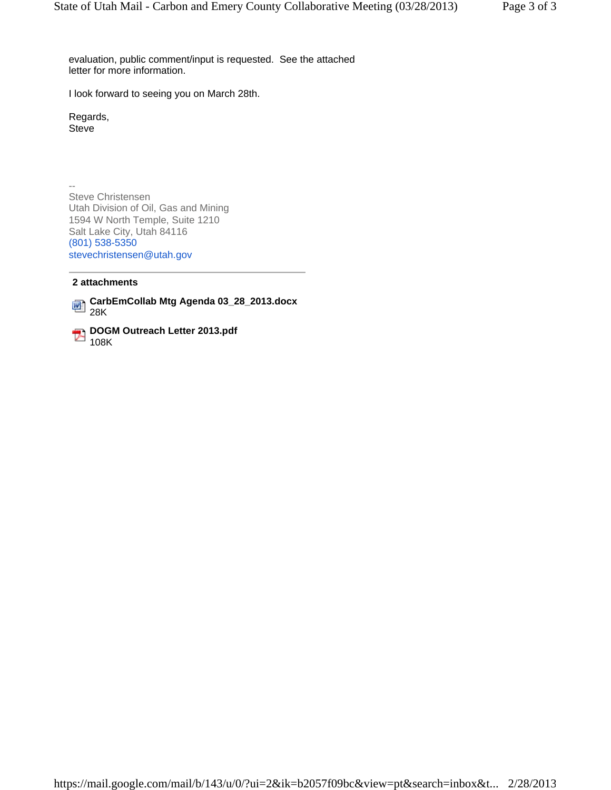evaluation, public comment/input is requested. See the attached letter for more information.

I look forward to seeing you on March 28th.

Regards, Steve

-- Steve Christensen Utah Division of Oil, Gas and Mining 1594 W North Temple, Suite 1210 Salt Lake City, Utah 84116 (801) 538-5350 stevechristensen@utah.gov

### **2 attachments**

**CarbEmCollab Mtg Agenda 03\_28\_2013.docx** 28K

**DOGM Outreach Letter 2013.pdf** 108K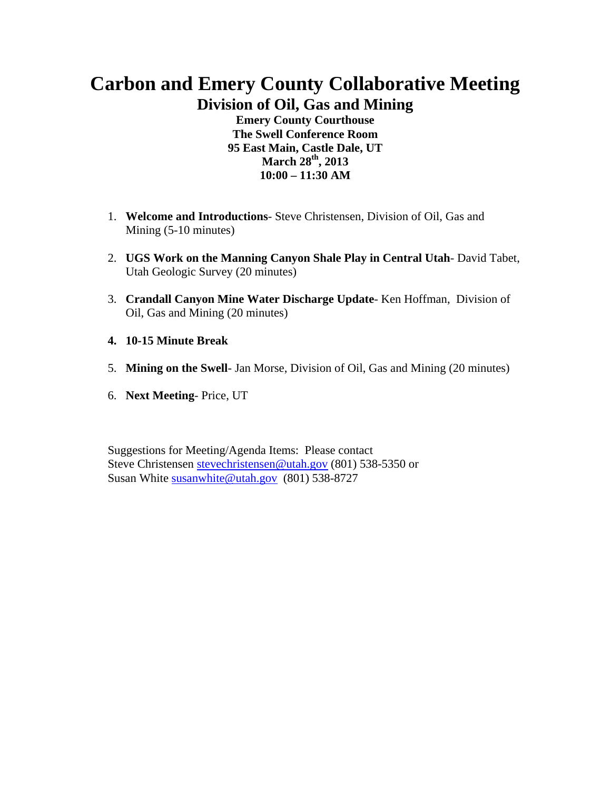# **Carbon and Emery County Collaborative Meeting Division of Oil, Gas and Mining**

**Emery County Courthouse The Swell Conference Room 95 East Main, Castle Dale, UT March 28th, 2013 10:00 – 11:30 AM** 

- 1. **Welcome and Introductions** Steve Christensen, Division of Oil, Gas and Mining (5-10 minutes)
- 2. **UGS Work on the Manning Canyon Shale Play in Central Utah** David Tabet, Utah Geologic Survey (20 minutes)
- 3. **Crandall Canyon Mine Water Discharge Update** Ken Hoffman, Division of Oil, Gas and Mining (20 minutes)
- **4. 10-15 Minute Break**
- 5. **Mining on the Swell** Jan Morse, Division of Oil, Gas and Mining (20 minutes)
- 6. **Next Meeting** Price, UT

Suggestions for Meeting/Agenda Items: Please contact Steve Christensen stevechristensen@utah.gov (801) 538-5350 or Susan White susanwhite@utah.gov (801) 538-8727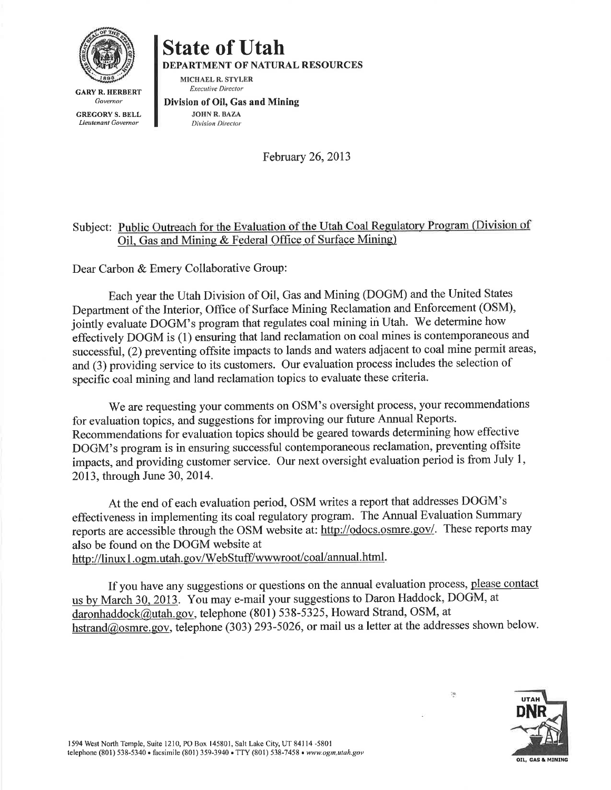

**State of Utah** 

DEPARTMENT OF NATURAL RESOURCES

MICHAEL R. STYLER **Executive Director** 

**GARY R. HERBERT** Governor

**GREGORY S. BELL** Lieutenant Governor

Division of Oil, Gas and Mining

**JOHN R. BAZA Division Director** 

February 26, 2013

### Subject: Public Outreach for the Evaluation of the Utah Coal Regulatory Program (Division of Oil, Gas and Mining & Federal Office of Surface Mining)

Dear Carbon & Emery Collaborative Group:

Each year the Utah Division of Oil, Gas and Mining (DOGM) and the United States Department of the Interior, Office of Surface Mining Reclamation and Enforcement (OSM), jointly evaluate DOGM's program that regulates coal mining in Utah. We determine how effectively DOGM is (1) ensuring that land reclamation on coal mines is contemporaneous and successful, (2) preventing offsite impacts to lands and waters adjacent to coal mine permit areas, and (3) providing service to its customers. Our evaluation process includes the selection of specific coal mining and land reclamation topics to evaluate these criteria.

We are requesting your comments on OSM's oversight process, your recommendations for evaluation topics, and suggestions for improving our future Annual Reports. Recommendations for evaluation topics should be geared towards determining how effective DOGM's program is in ensuring successful contemporaneous reclamation, preventing offsite impacts, and providing customer service. Our next oversight evaluation period is from July 1, 2013, through June 30, 2014.

At the end of each evaluation period, OSM writes a report that addresses DOGM's effectiveness in implementing its coal regulatory program. The Annual Evaluation Summary reports are accessible through the OSM website at: http://odocs.osmre.gov/. These reports may also be found on the DOGM website at http://linux1.ogm.utah.gov/WebStuff/wwwroot/coal/annual.html.

If you have any suggestions or questions on the annual evaluation process, please contact us by March 30, 2013. You may e-mail your suggestions to Daron Haddock, DOGM, at daronhaddock@utah.gov, telephone (801) 538-5325, Howard Strand, OSM, at hstrand@osmre.gov, telephone (303) 293-5026, or mail us a letter at the addresses shown below.



 $\tilde{a}$